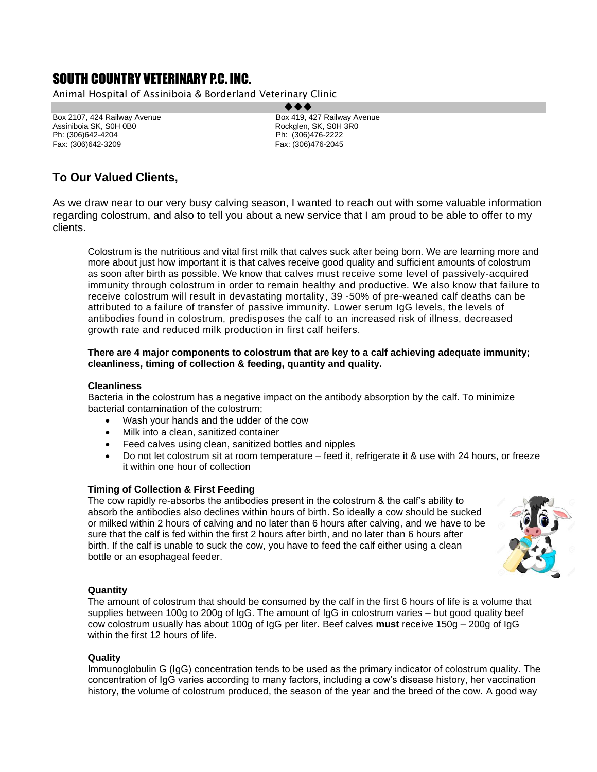# SOUTH COUNTRY VETERINARY P.C. INC.

Animal Hospital of Assiniboia & Borderland Veterinary Clinic

Box 2107, 424 Railway Avenue Box 2107, 427 Railway Avenue<br>
Assiniboia SK, S0H 0B0<br>
Assiniboia SK, S0H 0B0 Assiniboia SK, S0H 0B0 Ph: (306)642-4204 Ph: (306)476-2222

Box 419, 427 Railway Avenue Fax: (306)476-2045

## **To Our Valued Clients,**

As we draw near to our very busy calving season, I wanted to reach out with some valuable information regarding colostrum, and also to tell you about a new service that I am proud to be able to offer to my clients.

Colostrum is the nutritious and vital first milk that calves suck after being born. We are learning more and more about just how important it is that calves receive good quality and sufficient amounts of colostrum as soon after birth as possible. We know that calves must receive some level of passively-acquired immunity through colostrum in order to remain healthy and productive. We also know that failure to receive colostrum will result in devastating mortality, 39 -50% of pre-weaned calf deaths can be attributed to a failure of transfer of passive immunity. Lower serum IgG levels, the levels of antibodies found in colostrum, predisposes the calf to an increased risk of illness, decreased growth rate and reduced milk production in first calf heifers.

### **There are 4 major components to colostrum that are key to a calf achieving adequate immunity; cleanliness, timing of collection & feeding, quantity and quality.**

### **Cleanliness**

Bacteria in the colostrum has a negative impact on the antibody absorption by the calf. To minimize bacterial contamination of the colostrum;

- Wash your hands and the udder of the cow
- Milk into a clean, sanitized container
- Feed calves using clean, sanitized bottles and nipples
- Do not let colostrum sit at room temperature feed it, refrigerate it & use with 24 hours, or freeze it within one hour of collection

### **Timing of Collection & First Feeding**

The cow rapidly re-absorbs the antibodies present in the colostrum & the calf's ability to absorb the antibodies also declines within hours of birth. So ideally a cow should be sucked or milked within 2 hours of calving and no later than 6 hours after calving, and we have to be sure that the calf is fed within the first 2 hours after birth, and no later than 6 hours after birth. If the calf is unable to suck the cow, you have to feed the calf either using a clean bottle or an esophageal feeder.



### **Quantity**

The amount of colostrum that should be consumed by the calf in the first 6 hours of life is a volume that supplies between 100g to 200g of IgG. The amount of IgG in colostrum varies – but good quality beef cow colostrum usually has about 100g of IgG per liter. Beef calves **must** receive 150g – 200g of IgG within the first 12 hours of life.

### **Quality**

Immunoglobulin G (IgG) concentration tends to be used as the primary indicator of colostrum quality. The concentration of IgG varies according to many factors, including a cow's disease history, her vaccination history, the volume of colostrum produced, the season of the year and the breed of the cow. A good way